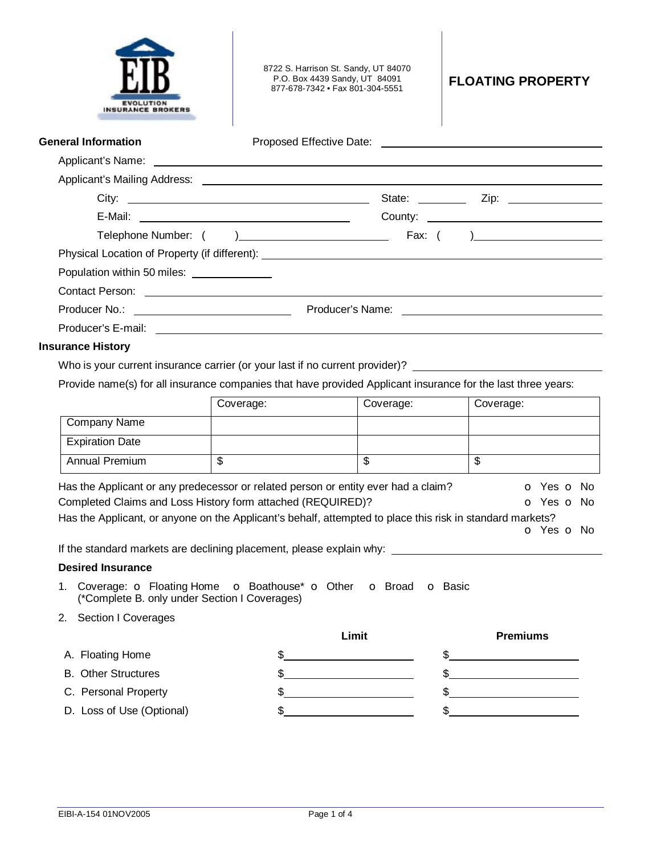| <b>INSURANCE BROKERS</b>                                                                                                                                                                                                                                       |                                                                                                                                                                                              | 8722 S. Harrison St. Sandy, UT 84070<br>P.O. Box 4439 Sandy, UT 84091<br>877-678-7342 • Fax 801-304-5551 | <b>FLOATING PROPERTY</b>                                                                                             |  |  |  |  |
|----------------------------------------------------------------------------------------------------------------------------------------------------------------------------------------------------------------------------------------------------------------|----------------------------------------------------------------------------------------------------------------------------------------------------------------------------------------------|----------------------------------------------------------------------------------------------------------|----------------------------------------------------------------------------------------------------------------------|--|--|--|--|
| <b>General Information</b>                                                                                                                                                                                                                                     |                                                                                                                                                                                              |                                                                                                          |                                                                                                                      |  |  |  |  |
|                                                                                                                                                                                                                                                                |                                                                                                                                                                                              |                                                                                                          |                                                                                                                      |  |  |  |  |
|                                                                                                                                                                                                                                                                |                                                                                                                                                                                              |                                                                                                          |                                                                                                                      |  |  |  |  |
|                                                                                                                                                                                                                                                                |                                                                                                                                                                                              |                                                                                                          |                                                                                                                      |  |  |  |  |
|                                                                                                                                                                                                                                                                |                                                                                                                                                                                              |                                                                                                          |                                                                                                                      |  |  |  |  |
|                                                                                                                                                                                                                                                                |                                                                                                                                                                                              |                                                                                                          |                                                                                                                      |  |  |  |  |
|                                                                                                                                                                                                                                                                |                                                                                                                                                                                              |                                                                                                          |                                                                                                                      |  |  |  |  |
| Population within 50 miles: ______________                                                                                                                                                                                                                     |                                                                                                                                                                                              |                                                                                                          |                                                                                                                      |  |  |  |  |
|                                                                                                                                                                                                                                                                |                                                                                                                                                                                              |                                                                                                          |                                                                                                                      |  |  |  |  |
|                                                                                                                                                                                                                                                                |                                                                                                                                                                                              |                                                                                                          |                                                                                                                      |  |  |  |  |
|                                                                                                                                                                                                                                                                |                                                                                                                                                                                              |                                                                                                          |                                                                                                                      |  |  |  |  |
|                                                                                                                                                                                                                                                                | Who is your current insurance carrier (or your last if no current provider)?<br>Provide name(s) for all insurance companies that have provided Applicant insurance for the last three years: |                                                                                                          |                                                                                                                      |  |  |  |  |
|                                                                                                                                                                                                                                                                | Coverage:                                                                                                                                                                                    | Coverage:                                                                                                | Coverage:                                                                                                            |  |  |  |  |
| Company Name                                                                                                                                                                                                                                                   |                                                                                                                                                                                              |                                                                                                          |                                                                                                                      |  |  |  |  |
| <b>Expiration Date</b>                                                                                                                                                                                                                                         |                                                                                                                                                                                              |                                                                                                          |                                                                                                                      |  |  |  |  |
| Annual Premium                                                                                                                                                                                                                                                 | $\overline{\mathbb{S}}$                                                                                                                                                                      | $\overline{\mathbb{S}}$                                                                                  | $\overline{\mathbb{S}}$                                                                                              |  |  |  |  |
| Has the Applicant or any predecessor or related person or entity ever had a claim?<br>Completed Claims and Loss History form attached (REQUIRED)?<br>Has the Applicant, or anyone on the Applicant's behalf, attempted to place this risk in standard markets? |                                                                                                                                                                                              |                                                                                                          | o Yes o No<br>o Yes o No<br><b>o</b> Yes <b>o</b> No                                                                 |  |  |  |  |
|                                                                                                                                                                                                                                                                |                                                                                                                                                                                              |                                                                                                          |                                                                                                                      |  |  |  |  |
| <b>Desired Insurance</b>                                                                                                                                                                                                                                       |                                                                                                                                                                                              |                                                                                                          |                                                                                                                      |  |  |  |  |
| 1. Coverage: <b>o</b> Floating Home <b>o</b> Boathouse* <b>o</b> Other <b>o</b> Broad                                                                                                                                                                          | (*Complete B. only under Section I Coverages)                                                                                                                                                |                                                                                                          | <b>o</b> Basic                                                                                                       |  |  |  |  |
| 2. Section I Coverages                                                                                                                                                                                                                                         |                                                                                                                                                                                              |                                                                                                          |                                                                                                                      |  |  |  |  |
|                                                                                                                                                                                                                                                                |                                                                                                                                                                                              | Limit                                                                                                    | <b>Premiums</b>                                                                                                      |  |  |  |  |
| A. Floating Home                                                                                                                                                                                                                                               | \$                                                                                                                                                                                           | <u> 1980 - Johann Barnett, fransk politik (</u>                                                          | <u> 1980 - Johann Barn, mars ann an t-Amhain Aonaich an t-Aonaich an t-Aonaich ann an t-Aonaich ann an t-Aonaich</u> |  |  |  |  |
| <b>B.</b> Other Structures                                                                                                                                                                                                                                     |                                                                                                                                                                                              |                                                                                                          |                                                                                                                      |  |  |  |  |
| C. Personal Property                                                                                                                                                                                                                                           | \$                                                                                                                                                                                           |                                                                                                          |                                                                                                                      |  |  |  |  |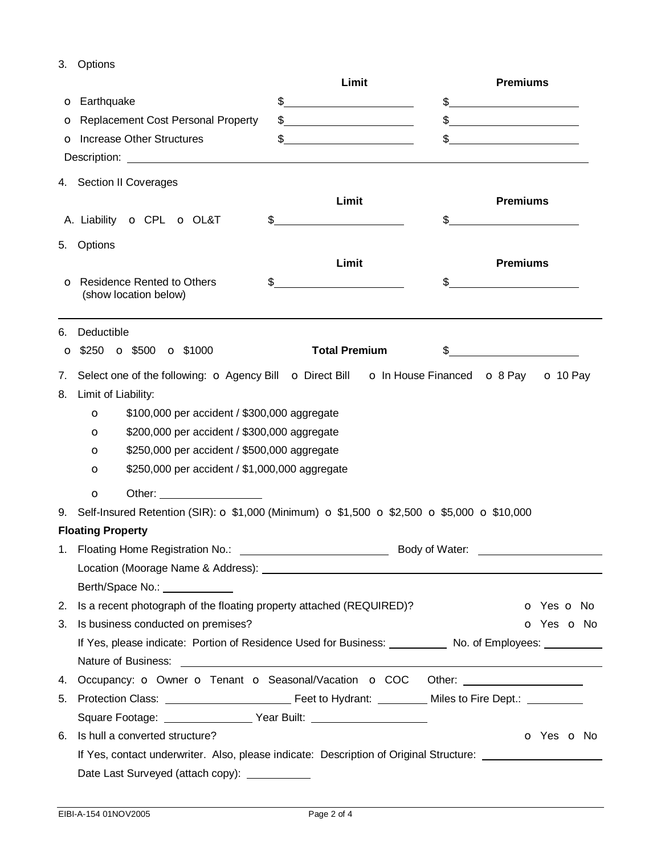3. Options

|    |                                                                                                                                                                                                                                           |    | Limit                                   |    | <b>Premiums</b>          |  |
|----|-------------------------------------------------------------------------------------------------------------------------------------------------------------------------------------------------------------------------------------------|----|-----------------------------------------|----|--------------------------|--|
|    | <b>o</b> Earthquake                                                                                                                                                                                                                       | \$ | <u> 1980 - Johann Barbara, martin a</u> |    |                          |  |
|    | O Replacement Cost Personal Property                                                                                                                                                                                                      |    | $\frac{1}{2}$                           |    | $\frac{1}{2}$            |  |
|    | <b>o</b> Increase Other Structures                                                                                                                                                                                                        | \$ |                                         |    | $\sim$                   |  |
|    | Description: <u>example and the contract of the contract of the contract of the contract of the contract of the contract of the contract of the contract of the contract of the contract of the contract of the contract of the </u>      |    |                                         |    |                          |  |
|    | 4. Section II Coverages                                                                                                                                                                                                                   |    |                                         |    |                          |  |
|    |                                                                                                                                                                                                                                           |    | Limit                                   |    | <b>Premiums</b>          |  |
|    | A. Liability <b>o</b> CPL <b>o</b> OL&T                                                                                                                                                                                                   |    |                                         |    |                          |  |
|    |                                                                                                                                                                                                                                           |    |                                         |    |                          |  |
| 5. | Options                                                                                                                                                                                                                                   |    |                                         |    |                          |  |
|    |                                                                                                                                                                                                                                           |    | Limit                                   |    | <b>Premiums</b>          |  |
|    | <b>O</b> Residence Rented to Others<br>(show location below)                                                                                                                                                                              | \$ |                                         | \$ |                          |  |
|    |                                                                                                                                                                                                                                           |    |                                         |    |                          |  |
| 6. | Deductible                                                                                                                                                                                                                                |    |                                         |    |                          |  |
|    | $\circ$ \$250 $\circ$ \$500 $\circ$ \$1000                                                                                                                                                                                                |    | <b>Total Premium</b>                    | \$ |                          |  |
|    |                                                                                                                                                                                                                                           |    |                                         |    |                          |  |
| 7. | Select one of the following: O Agency Bill O Direct Bill O In House Financed O 8 Pay O 10 Pay                                                                                                                                             |    |                                         |    |                          |  |
| 8. | Limit of Liability:                                                                                                                                                                                                                       |    |                                         |    |                          |  |
|    | \$100,000 per accident / \$300,000 aggregate<br>$\circ$                                                                                                                                                                                   |    |                                         |    |                          |  |
|    | \$200,000 per accident / \$300,000 aggregate<br>$\circ$                                                                                                                                                                                   |    |                                         |    |                          |  |
|    | \$250,000 per accident / \$500,000 aggregate<br>$\circ$                                                                                                                                                                                   |    |                                         |    |                          |  |
|    | \$250,000 per accident / \$1,000,000 aggregate<br>$\circ$                                                                                                                                                                                 |    |                                         |    |                          |  |
|    | Other: and the contract of the contract of the contract of the contract of the contract of the contract of the contract of the contract of the contract of the contract of the contract of the contract of the contract of the<br>$\circ$ |    |                                         |    |                          |  |
|    | 9. Self-Insured Retention (SIR): $\sigma$ \$1,000 (Minimum) $\sigma$ \$1,500 $\sigma$ \$2,500 $\sigma$ \$5,000 $\sigma$ \$10,000                                                                                                          |    |                                         |    |                          |  |
|    | <b>Floating Property</b>                                                                                                                                                                                                                  |    |                                         |    |                          |  |
|    | 1. Floating Home Registration No.: \[\]<br>Body of Water: ________________                                                                                                                                                                |    |                                         |    |                          |  |
|    |                                                                                                                                                                                                                                           |    |                                         |    |                          |  |
|    | Berth/Space No.: ____________                                                                                                                                                                                                             |    |                                         |    |                          |  |
| 2. | Is a recent photograph of the floating property attached (REQUIRED)?                                                                                                                                                                      |    |                                         |    | o Yes o No               |  |
| 3. | Is business conducted on premises?<br>o Yes o No                                                                                                                                                                                          |    |                                         |    |                          |  |
|    | If Yes, please indicate: Portion of Residence Used for Business: No. of Employees: No. of Employees:                                                                                                                                      |    |                                         |    |                          |  |
|    |                                                                                                                                                                                                                                           |    |                                         |    |                          |  |
| 4. | Occupancy: o Owner o Tenant o Seasonal/Vacation o COC Other: ___________________                                                                                                                                                          |    |                                         |    |                          |  |
| 5. |                                                                                                                                                                                                                                           |    |                                         |    |                          |  |
|    |                                                                                                                                                                                                                                           |    |                                         |    |                          |  |
| 6. | Is hull a converted structure?                                                                                                                                                                                                            |    |                                         |    | <b>o</b> Yes <b>o</b> No |  |
|    | If Yes, contact underwriter. Also, please indicate: Description of Original Structure:                                                                                                                                                    |    |                                         |    |                          |  |
|    | Date Last Surveyed (attach copy): ____________                                                                                                                                                                                            |    |                                         |    |                          |  |
|    |                                                                                                                                                                                                                                           |    |                                         |    |                          |  |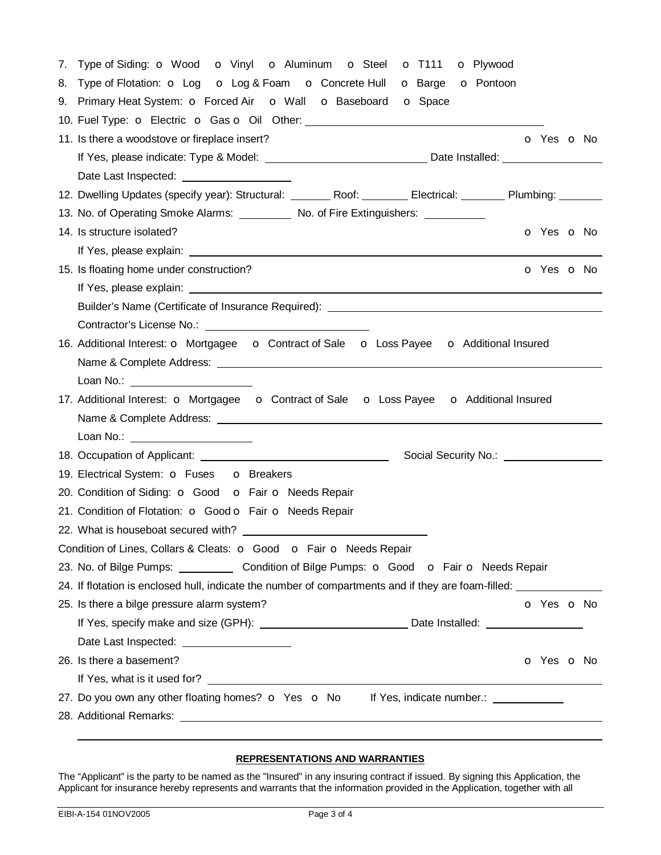|                                                                                                                       | 7. Type of Siding: o Wood o Vinyl o Aluminum o Steel o T111 o Plywood                                                                                                                                                          |  |  |  |  |
|-----------------------------------------------------------------------------------------------------------------------|--------------------------------------------------------------------------------------------------------------------------------------------------------------------------------------------------------------------------------|--|--|--|--|
|                                                                                                                       | 8. Type of Flotation: $\circ$ Log $\circ$ Log & Foam $\circ$ Concrete Hull $\circ$ Barge $\circ$ Pontoon                                                                                                                       |  |  |  |  |
|                                                                                                                       | 9. Primary Heat System: O Forced Air O Wall O Baseboard O Space                                                                                                                                                                |  |  |  |  |
|                                                                                                                       | 10. Fuel Type: o Electric o Gas o Oil Other: ___________________________________                                                                                                                                               |  |  |  |  |
|                                                                                                                       | 11. Is there a woodstove or fireplace insert?<br>O Yes O No                                                                                                                                                                    |  |  |  |  |
|                                                                                                                       |                                                                                                                                                                                                                                |  |  |  |  |
|                                                                                                                       |                                                                                                                                                                                                                                |  |  |  |  |
|                                                                                                                       | 12. Dwelling Updates (specify year): Structural: ________ Roof: ________ Electrical: _______ Plumbing: ______                                                                                                                  |  |  |  |  |
|                                                                                                                       | 13. No. of Operating Smoke Alarms: No. of Fire Extinguishers: 1986 13. No. of Fire Extinguishers:                                                                                                                              |  |  |  |  |
|                                                                                                                       | 14. Is structure isolated?<br>o Yes o No                                                                                                                                                                                       |  |  |  |  |
|                                                                                                                       |                                                                                                                                                                                                                                |  |  |  |  |
|                                                                                                                       | 15. Is floating home under construction?<br>o Yes o No                                                                                                                                                                         |  |  |  |  |
|                                                                                                                       |                                                                                                                                                                                                                                |  |  |  |  |
|                                                                                                                       |                                                                                                                                                                                                                                |  |  |  |  |
|                                                                                                                       |                                                                                                                                                                                                                                |  |  |  |  |
|                                                                                                                       | 16. Additional Interest: o Mortgagee o Contract of Sale o Loss Payee o Additional Insured                                                                                                                                      |  |  |  |  |
|                                                                                                                       |                                                                                                                                                                                                                                |  |  |  |  |
|                                                                                                                       | Loan No.: ______________________                                                                                                                                                                                               |  |  |  |  |
| 17. Additional Interest: <b>o</b> Mortgagee <b>o</b> Contract of Sale <b>o</b> Loss Payee <b>o</b> Additional Insured |                                                                                                                                                                                                                                |  |  |  |  |
|                                                                                                                       |                                                                                                                                                                                                                                |  |  |  |  |
|                                                                                                                       | Loan No.: _______________________                                                                                                                                                                                              |  |  |  |  |
|                                                                                                                       | Social Security No.: \\contact \\contact \\contact \\contact \\contact \\contact \\contact \\contact \\contact \\contact \\contact \\contact \\contact \\contact \\contact \\contact \\contact \\contact \\contact \\contact \ |  |  |  |  |
|                                                                                                                       | 19. Electrical System: O Fuses O Breakers                                                                                                                                                                                      |  |  |  |  |
| 20. Condition of Siding: o Good o Fair o Needs Repair                                                                 |                                                                                                                                                                                                                                |  |  |  |  |
|                                                                                                                       | 21. Condition of Flotation: O Good O Fair O Needs Repair                                                                                                                                                                       |  |  |  |  |
|                                                                                                                       |                                                                                                                                                                                                                                |  |  |  |  |
|                                                                                                                       | Condition of Lines, Collars & Cleats: O Good O Fair O Needs Repair                                                                                                                                                             |  |  |  |  |
|                                                                                                                       | 23. No. of Bilge Pumps: _____________ Condition of Bilge Pumps: o Good o Fair o Needs Repair                                                                                                                                   |  |  |  |  |
|                                                                                                                       | 24. If flotation is enclosed hull, indicate the number of compartments and if they are foam-filled: __________                                                                                                                 |  |  |  |  |
|                                                                                                                       | 25. Is there a bilge pressure alarm system?<br>o Yes o No                                                                                                                                                                      |  |  |  |  |
|                                                                                                                       | If Yes, specify make and size (GPH): ___________________________________Date Installed: _____________________                                                                                                                  |  |  |  |  |
|                                                                                                                       | Date Last Inspected: ____________________                                                                                                                                                                                      |  |  |  |  |
|                                                                                                                       | 26. Is there a basement?<br><b>o</b> Yes <b>o</b> No                                                                                                                                                                           |  |  |  |  |
|                                                                                                                       |                                                                                                                                                                                                                                |  |  |  |  |
|                                                                                                                       | 27. Do you own any other floating homes? o Yes o No If Yes, indicate number.: _________                                                                                                                                        |  |  |  |  |
|                                                                                                                       |                                                                                                                                                                                                                                |  |  |  |  |
|                                                                                                                       |                                                                                                                                                                                                                                |  |  |  |  |

## **REPRESENTATIONS AND WARRANTIES**

The "Applicant" is the party to be named as the "Insured" in any insuring contract if issued. By signing this Application, the Applicant for insurance hereby represents and warrants that the information provided in the Application, together with all